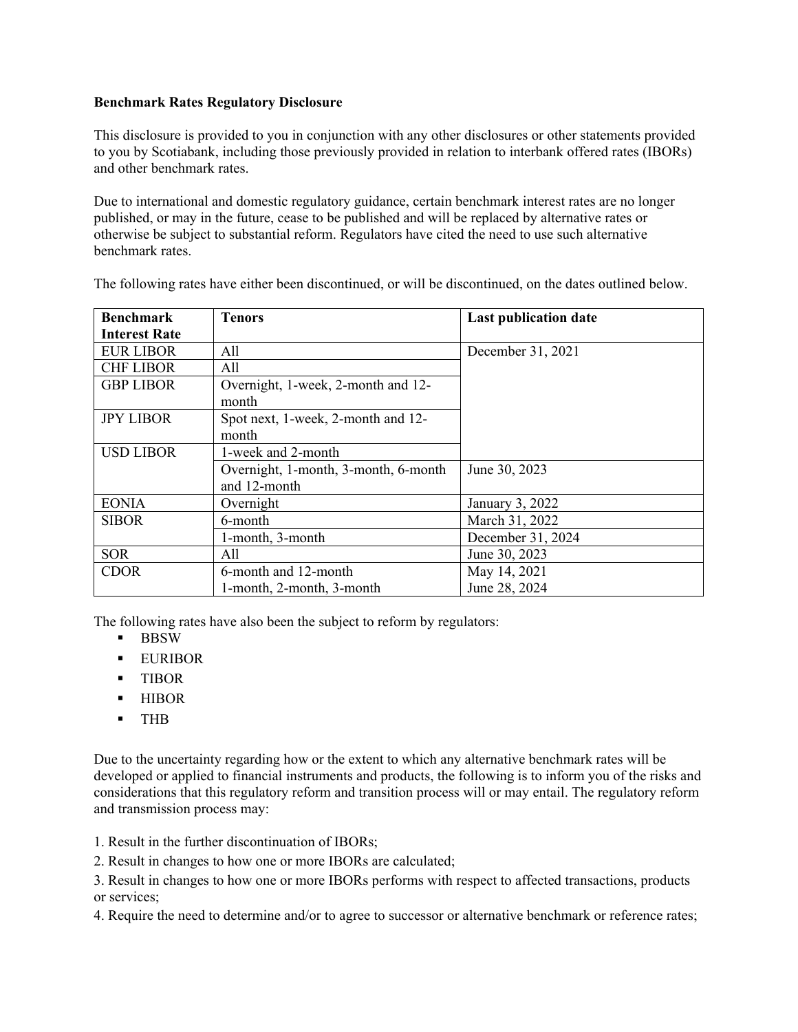## **Benchmark Rates Regulatory Disclosure**

This disclosure is provided to you in conjunction with any other disclosures or other statements provided to you by Scotiabank, including those previously provided in relation to interbank offered rates (IBORs) and other benchmark rates.

Due to international and domestic regulatory guidance, certain benchmark interest rates are no longer published, or may in the future, cease to be published and will be replaced by alternative rates or otherwise be subject to substantial reform. Regulators have cited the need to use such alternative benchmark rates.

| <b>Benchmark</b>     | <b>Tenors</b>                        | <b>Last publication date</b> |
|----------------------|--------------------------------------|------------------------------|
| <b>Interest Rate</b> |                                      |                              |
| <b>EUR LIBOR</b>     | A11                                  | December 31, 2021            |
| <b>CHF LIBOR</b>     | All                                  |                              |
| <b>GBP LIBOR</b>     | Overnight, 1-week, 2-month and 12-   |                              |
|                      | month                                |                              |
| <b>JPY LIBOR</b>     | Spot next, 1-week, 2-month and 12-   |                              |
|                      | month                                |                              |
| <b>USD LIBOR</b>     | 1-week and 2-month                   |                              |
|                      | Overnight, 1-month, 3-month, 6-month | June 30, 2023                |
|                      | and 12-month                         |                              |
| <b>EONIA</b>         | Overnight                            | January 3, 2022              |
| <b>SIBOR</b>         | 6-month                              | March 31, 2022               |
|                      | 1-month, 3-month                     | December 31, 2024            |
| <b>SOR</b>           | All                                  | June 30, 2023                |
| <b>CDOR</b>          | 6-month and 12-month                 | May 14, 2021                 |
|                      | 1-month, 2-month, 3-month            | June 28, 2024                |

The following rates have either been discontinued, or will be discontinued, on the dates outlined below.

The following rates have also been the subject to reform by regulators:

- **BBSW**
- **EURIBOR**
- **TIBOR**
- **-** HIBOR
- THB

Due to the uncertainty regarding how or the extent to which any alternative benchmark rates will be developed or applied to financial instruments and products, the following is to inform you of the risks and considerations that this regulatory reform and transition process will or may entail. The regulatory reform and transmission process may:

1. Result in the further discontinuation of IBORs;

2. Result in changes to how one or more IBORs are calculated;

3. Result in changes to how one or more IBORs performs with respect to affected transactions, products or services;

4. Require the need to determine and/or to agree to successor or alternative benchmark or reference rates;